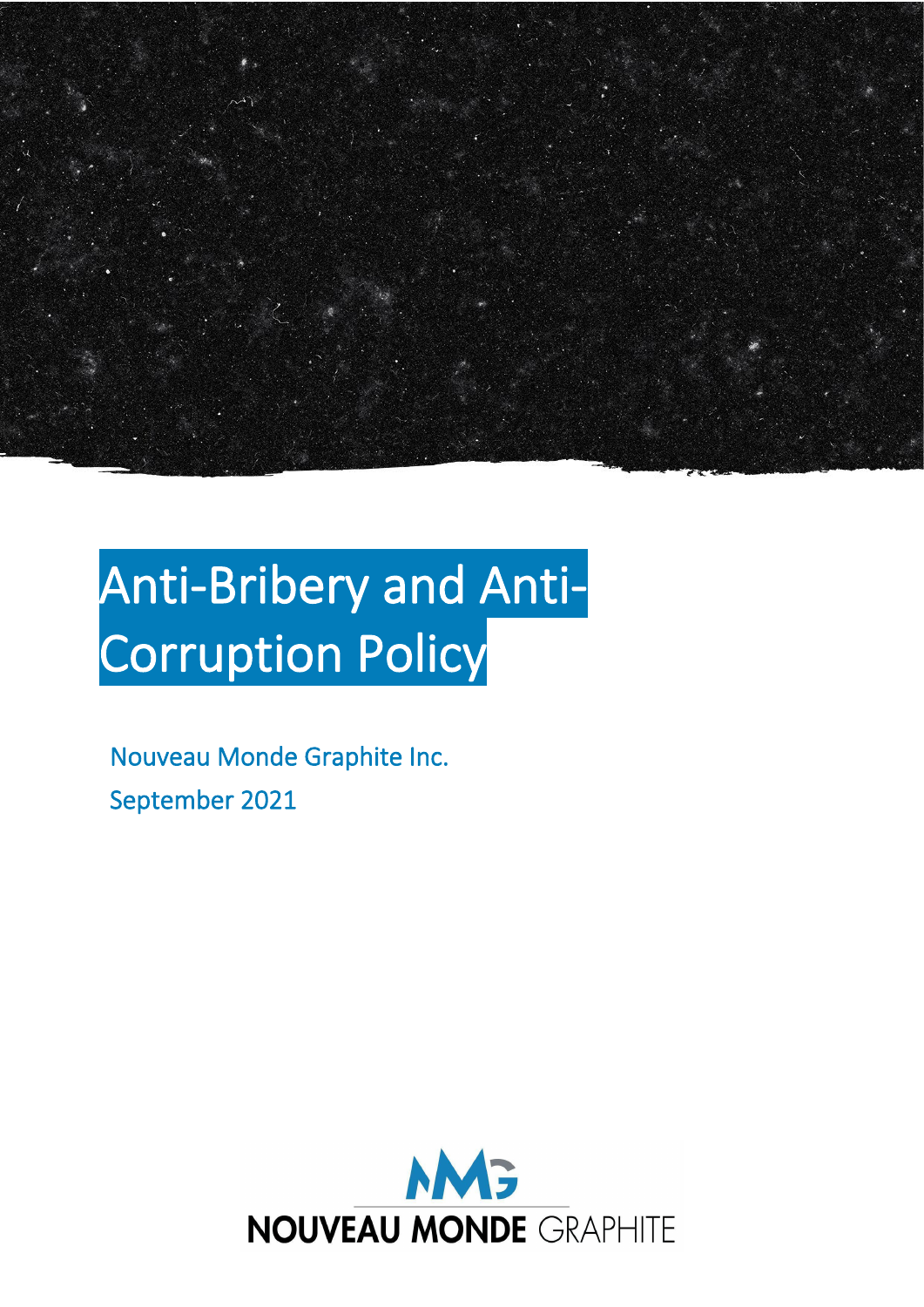

# Anti-Bribery and Anti-Corruption Policy

Nouveau Monde Graphite Inc. September 2021

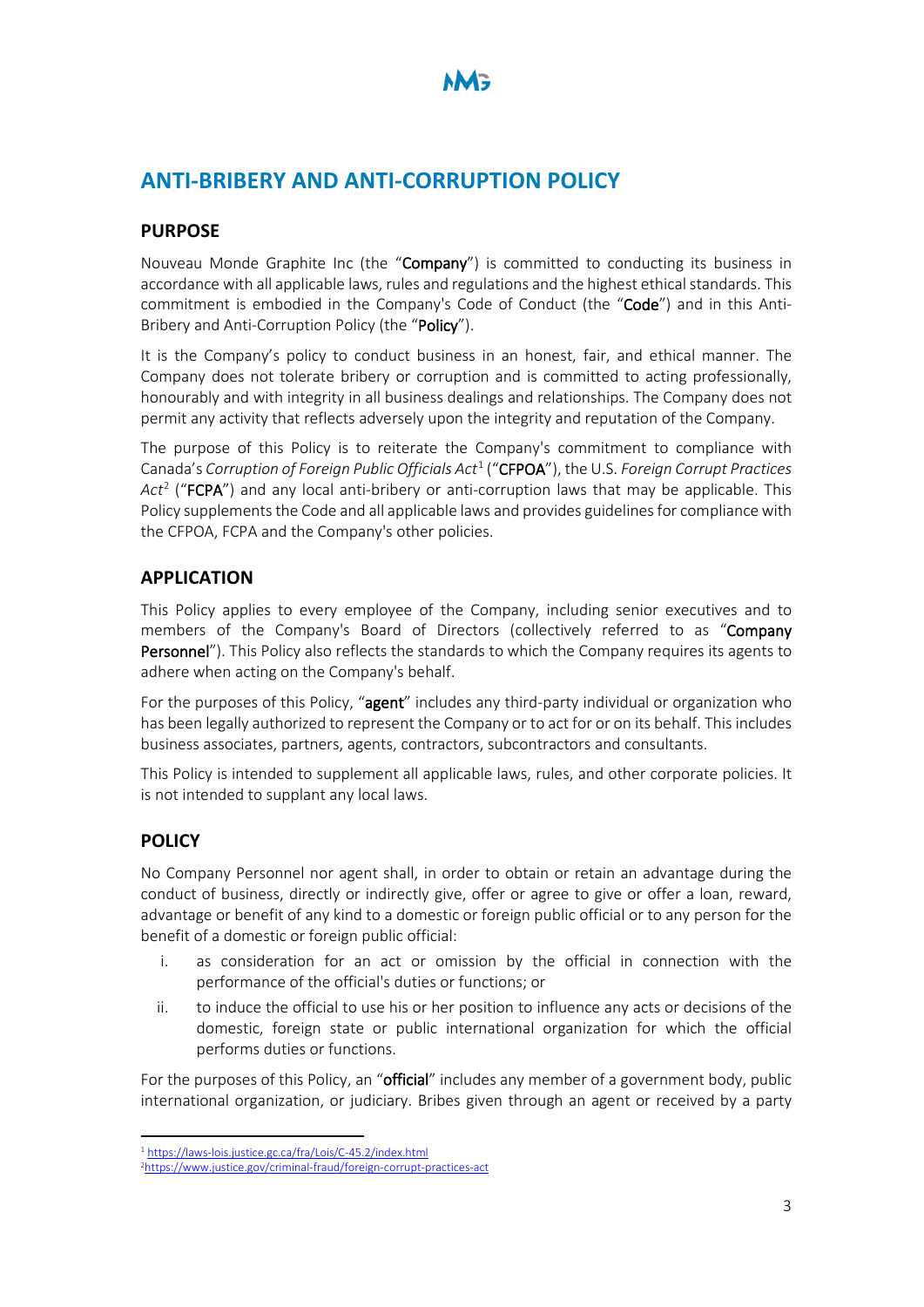# **ANTI-BRIBERY AND ANTI-CORRUPTION POLICY**

#### **PURPOSE**

Nouveau Monde Graphite Inc (the "Company") is committed to conducting its business in accordance with all applicable laws, rules and regulations and the highest ethical standards. This commitment is embodied in the Company's Code of Conduct (the "Code") and in this Anti-Bribery and Anti-Corruption Policy (the "Policy").

It is the Company's policy to conduct business in an honest, fair, and ethical manner. The Company does not tolerate bribery or corruption and is committed to acting professionally, honourably and with integrity in all business dealings and relationships. The Company does not permit any activity that reflects adversely upon the integrity and reputation of the Company.

The purpose of this Policy is to reiterate the Company's commitment to compliance with Canada's *Corruption of Foreign Public Officials Act*[1](#page-1-0) ("CFPOA"), the U.S. *Foreign Corrupt Practices*  Act<sup>[2](#page-1-1)</sup> ("**FCPA**") and any local anti-bribery or anti-corruption laws that may be applicable. This Policy supplements the Code and all applicable laws and provides guidelines for compliance with the CFPOA, FCPA and the Company's other policies.

### **APPLICATION**

This Policy applies to every employee of the Company, including senior executives and to members of the Company's Board of Directors (collectively referred to as "Company Personnel"). This Policy also reflects the standards to which the Company requires its agents to adhere when acting on the Company's behalf.

For the purposes of this Policy, "agent" includes any third-party individual or organization who has been legally authorized to represent the Company or to act for or on its behalf. This includes business associates, partners, agents, contractors, subcontractors and consultants.

This Policy is intended to supplement all applicable laws, rules, and other corporate policies. It is not intended to supplant any local laws.

## **POLICY**

No Company Personnel nor agent shall, in order to obtain or retain an advantage during the conduct of business, directly or indirectly give, offer or agree to give or offer a loan, reward, advantage or benefit of any kind to a domestic or foreign public official or to any person for the benefit of a domestic or foreign public official:

- i. as consideration for an act or omission by the official in connection with the performance of the official's duties or functions; or
- ii. to induce the official to use his or her position to influence any acts or decisions of the domestic, foreign state or public international organization for which the official performs duties or functions.

For the purposes of this Policy, an "**official**" includes any member of a government body, public international organization, or judiciary. Bribes given through an agent or received by a party

<span id="page-1-0"></span><sup>&</sup>lt;sup>1</sup> https://laws-lois.justice.gc.ca/fra/Lois/C-45.2/index.html

<span id="page-1-1"></span>[<sup>2</sup>https://www.justice.gov/criminal-fraud/foreign-corrupt-practices-act](https://www.justice.gov/criminal-fraud/foreign-corrupt-practices-act)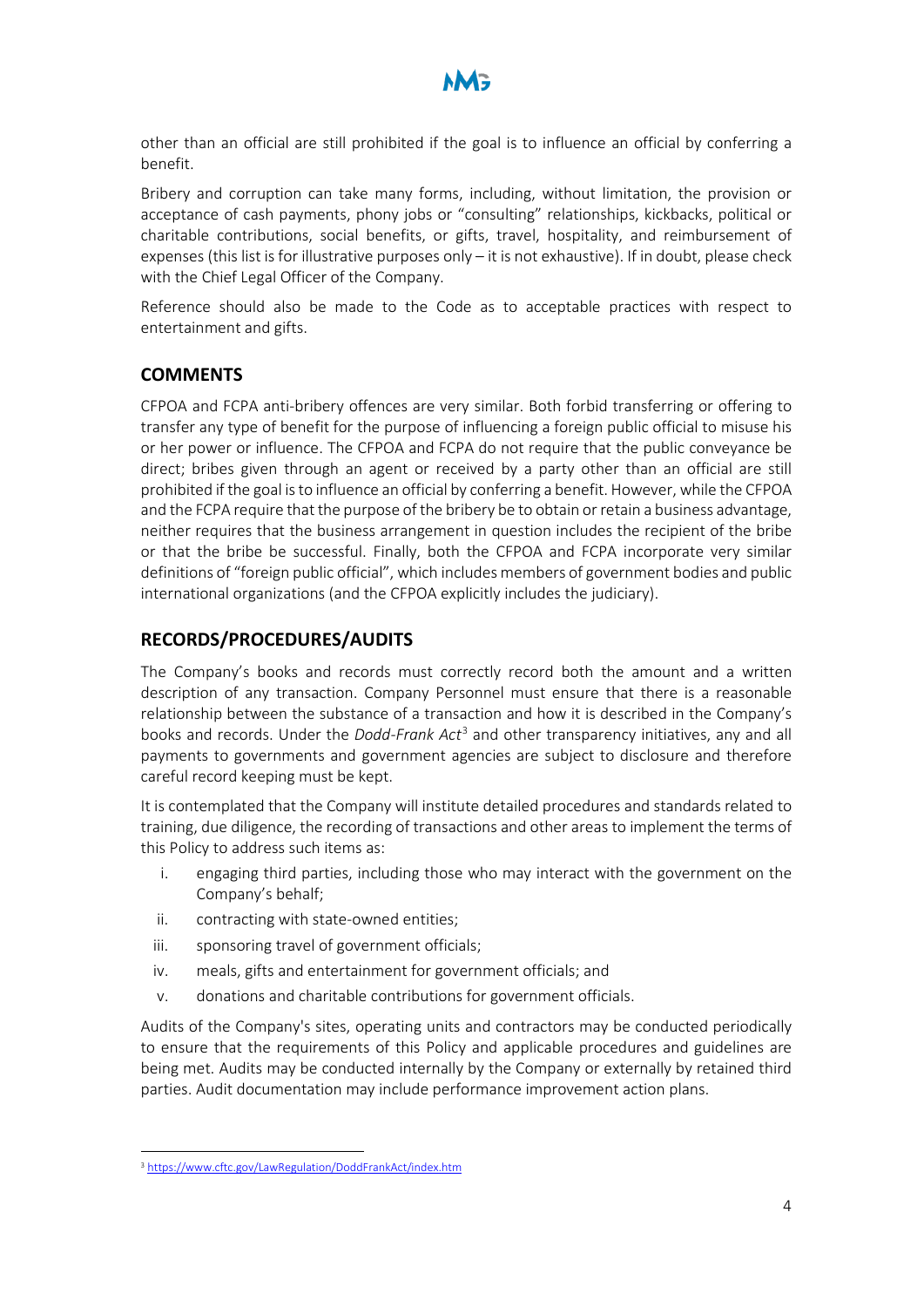

other than an official are still prohibited if the goal is to influence an official by conferring a benefit.

Bribery and corruption can take many forms, including, without limitation, the provision or acceptance of cash payments, phony jobs or "consulting" relationships, kickbacks, political or charitable contributions, social benefits, or gifts, travel, hospitality, and reimbursement of expenses (this list is for illustrative purposes only – it is not exhaustive). If in doubt, please check with the Chief Legal Officer of the Company.

Reference should also be made to the Code as to acceptable practices with respect to entertainment and gifts.

#### **COMMENTS**

CFPOA and FCPA anti-bribery offences are very similar. Both forbid transferring or offering to transfer any type of benefit for the purpose of influencing a foreign public official to misuse his or her power or influence. The CFPOA and FCPA do not require that the public conveyance be direct; bribes given through an agent or received by a party other than an official are still prohibited if the goal is to influence an official by conferring a benefit. However, while the CFPOA and the FCPA require that the purpose of the bribery be to obtain or retain a business advantage, neither requires that the business arrangement in question includes the recipient of the bribe or that the bribe be successful. Finally, both the CFPOA and FCPA incorporate very similar definitions of "foreign public official", which includes members of government bodies and public international organizations (and the CFPOA explicitly includes the judiciary).

#### **RECORDS/PROCEDURES/AUDITS**

The Company's books and records must correctly record both the amount and a written description of any transaction. Company Personnel must ensure that there is a reasonable relationship between the substance of a transaction and how it is described in the Company's books and records. Under the *Dodd-Frank Act*[3](#page-2-0) and other transparency initiatives, any and all payments to governments and government agencies are subject to disclosure and therefore careful record keeping must be kept.

It is contemplated that the Company will institute detailed procedures and standards related to training, due diligence, the recording of transactions and other areas to implement the terms of this Policy to address such items as:

- i. engaging third parties, including those who may interact with the government on the Company's behalf;
- ii. contracting with state-owned entities;
- iii. sponsoring travel of government officials;
- iv. meals, gifts and entertainment for government officials; and
- v. donations and charitable contributions for government officials.

Audits of the Company's sites, operating units and contractors may be conducted periodically to ensure that the requirements of this Policy and applicable procedures and guidelines are being met. Audits may be conducted internally by the Company or externally by retained third parties. Audit documentation may include performance improvement action plans.

<span id="page-2-0"></span><sup>3</sup> <https://www.cftc.gov/LawRegulation/DoddFrankAct/index.htm>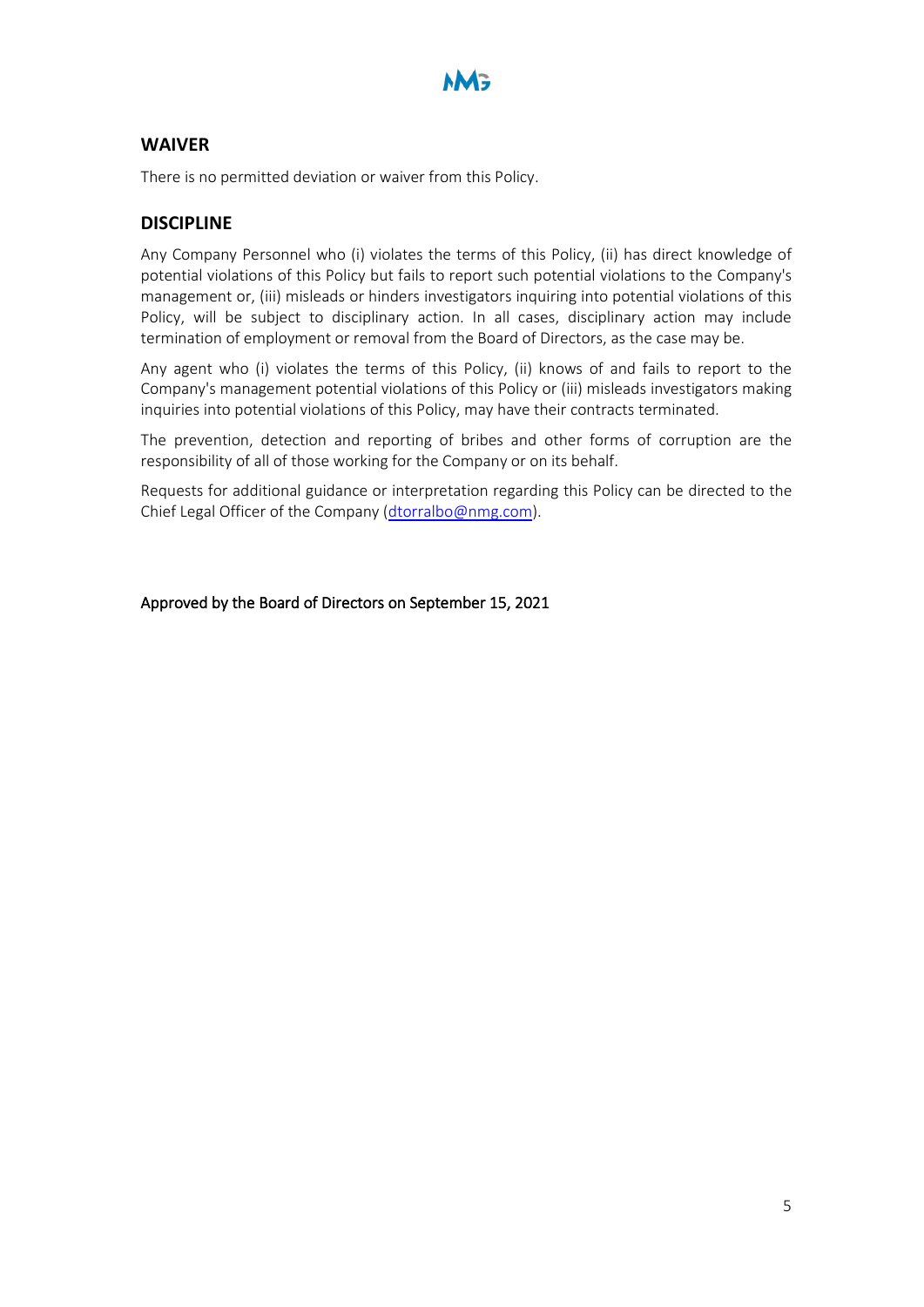

#### **WAIVER**

There is no permitted deviation or waiver from this Policy.

#### **DISCIPLINE**

Any Company Personnel who (i) violates the terms of this Policy, (ii) has direct knowledge of potential violations of this Policy but fails to report such potential violations to the Company's management or, (iii) misleads or hinders investigators inquiring into potential violations of this Policy, will be subject to disciplinary action. In all cases, disciplinary action may include termination of employment or removal from the Board of Directors, as the case may be.

Any agent who (i) violates the terms of this Policy, (ii) knows of and fails to report to the Company's management potential violations of this Policy or (iii) misleads investigators making inquiries into potential violations of this Policy, may have their contracts terminated.

The prevention, detection and reporting of bribes and other forms of corruption are the responsibility of all of those working for the Company or on its behalf.

Requests for additional guidance or interpretation regarding this Policy can be directed to the Chief Legal Officer of the Company [\(dtorralbo@nmg.com\)](mailto:dtorralbo@nmg.com).

Approved by the Board of Directors on September 15, 2021